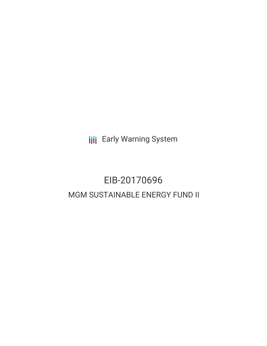**III** Early Warning System

# EIB-20170696 MGM SUSTAINABLE ENERGY FUND II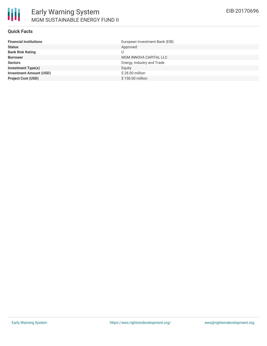#### **Quick Facts**

| European Investment Bank (EIB) |
|--------------------------------|
| Approved                       |
| U                              |
| MGM INNOVA CAPITAL LLC         |
| Energy, Industry and Trade     |
| Equity                         |
| \$28.00 million                |
| \$150.00 million               |
|                                |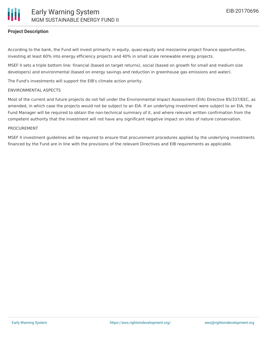# **Project Description**

According to the bank, the Fund will invest primarily in equity, quasi-equity and mezzanine project finance opportunities, investing at least 60% into energy efficiency projects and 40% in small scale renewable energy projects.

MSEF II sets a triple bottom line: financial (based on target returns), social (based on growth for small and medium size developers) and environmental (based on energy savings and reduction in greenhouse gas emissions and water).

The Fund's investments will support the EIB's climate action priority.

#### ENVIRONMENTAL ASPECTS

Most of the current and future projects do not fall under the Environmental Impact Assessment (EIA) Directive 85/337/EEC, as amended, in which case the projects would not be subject to an EIA. If an underlying investment were subject to an EIA, the Fund Manager will be required to obtain the non-technical summary of it, and where relevant written confirmation from the competent authority that the investment will not have any significant negative impact on sites of nature conservation.

#### PROCUREMENT

MSEF II investment guidelines will be required to ensure that procurement procedures applied by the underlying investments financed by the Fund are in line with the provisions of the relevant Directives and EIB requirements as applicable.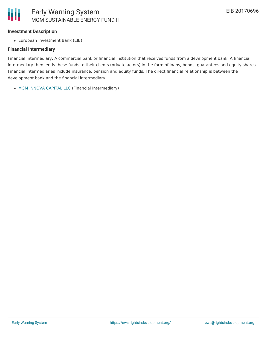## **Investment Description**

Ш

European Investment Bank (EIB)

### **Financial Intermediary**

Financial Intermediary: A commercial bank or financial institution that receives funds from a development bank. A financial intermediary then lends these funds to their clients (private actors) in the form of loans, bonds, guarantees and equity shares. Financial intermediaries include insurance, pension and equity funds. The direct financial relationship is between the development bank and the financial intermediary.

MGM INNOVA [CAPITAL](file:///actor/1495/) LLC (Financial Intermediary)

MGM SUSTAINABLE ENERGY FUND II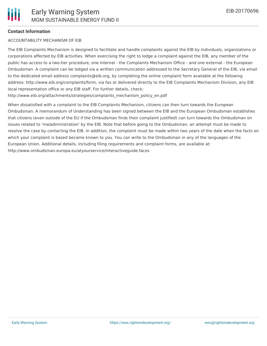#### **Contact Information**

#### ACCOUNTABILITY MECHANISM OF EIB

The EIB Complaints Mechanism is designed to facilitate and handle complaints against the EIB by individuals, organizations or corporations affected by EIB activities. When exercising the right to lodge a complaint against the EIB, any member of the public has access to a two-tier procedure, one internal - the Complaints Mechanism Office - and one external - the European Ombudsman. A complaint can be lodged via a written communication addressed to the Secretary General of the EIB, via email to the dedicated email address complaints@eib.org, by completing the online complaint form available at the following address: http://www.eib.org/complaints/form, via fax or delivered directly to the EIB Complaints Mechanism Division, any EIB local representation office or any EIB staff. For further details, check:

http://www.eib.org/attachments/strategies/complaints\_mechanism\_policy\_en.pdf

When dissatisfied with a complaint to the EIB Complaints Mechanism, citizens can then turn towards the European Ombudsman. A memorandum of Understanding has been signed between the EIB and the European Ombudsman establishes that citizens (even outside of the EU if the Ombudsman finds their complaint justified) can turn towards the Ombudsman on issues related to 'maladministration' by the EIB. Note that before going to the Ombudsman, an attempt must be made to resolve the case by contacting the EIB. In addition, the complaint must be made within two years of the date when the facts on which your complaint is based became known to you. You can write to the Ombudsman in any of the languages of the European Union. Additional details, including filing requirements and complaint forms, are available at: http://www.ombudsman.europa.eu/atyourservice/interactiveguide.faces